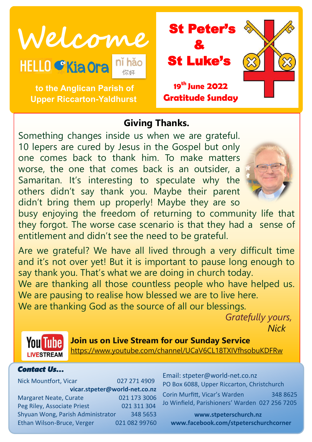**Welcome** St Peter's **HELLO CKia Ora** 

**to the Anglican Parish of Upper Riccarton-Yaldhurst**

# & St Luke's **19th June 2022 Gratitude Sunday**

# **Giving Thanks.**

Something changes inside us when we are grateful. 10 lepers are cured by Jesus in the Gospel but only one comes back to thank him. To make matters worse, the one that comes back is an outsider, a Samaritan. It's interesting to speculate why the others didn't say thank you. Maybe their parent didn't bring them up properly! Maybe they are so



busy enjoying the freedom of returning to community life that they forgot. The worse case scenario is that they had a sense of entitlement and didn't see the need to be grateful.

Are we grateful? We have all lived through a very difficult time and it's not over yet! But it is important to pause long enough to say thank you. That's what we are doing in church today. We are thanking all those countless people who have helped us. We are pausing to realise how blessed we are to live here. We are thanking God as the source of all our blessings.

> *Gratefully yours, Nick*



**Join us on Live Stream for our Sunday Service** <https://www.youtube.com/channel/UCaV6CL18TXIVfhsobuKDFRw>

#### *Contact Us…*

Nick Mountfort, Vicar 027 271 4909 **vicar.stpeter@world-net.co.nz** Margaret Neate, Curate 021 173 3006 Peg Riley, Associate Priest 021 311 304 Shyuan Wong, Parish Administrator 348 5653 Ethan Wilson-Bruce, Verger 021 082 99760 Email: stpeter@world-net.co.nz PO Box 6088, Upper Riccarton, Christchurch

Corin Murfitt, Vicar's Warden 348 8625 Jo Winfield, Parishioners' Warden 027 256 7205

**www.stpeterschurch.nz www.facebook.com/stpeterschurchcorner**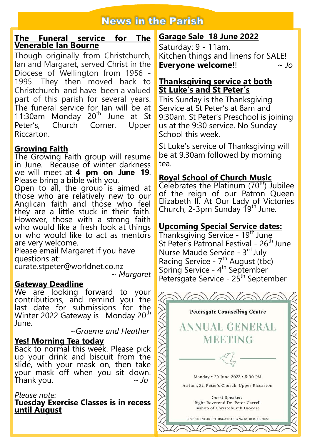# **News in the Parish**

#### **The Funeral service for The Venerable Ian Bourne**

Though originally from Christchurch, Ian and Margaret, served Christ in the Diocese of Wellington from 1956 - 1995. They then moved back to Christchurch and have been a valued part of this parish for several years. The funeral service for Ian will be at 11:30am Monday 20<sup>th</sup> June at St Peter's, Church Corner, Upper Riccarton.

#### **Growing Faith**

The Growing Faith group will resume in June. Because of winter darkness we will meet at **4 pm on June 19**. Please bring a bible with you,

Open to all, the group is aimed at those who are relatively new to our Anglican faith and those who feel they are a little stuck in their faith. However, those with a strong faith who would like a fresh look at things or who would like to act as mentors are very welcome.

Please email Margaret if you have questions at:

curate.stpeter@worldnet.co.nz

~ *Margaret*

#### **Gateway Deadline**

We are looking forward to your contributions, and remind you the last date for submissions for the Winter 2022 Gateway is Monday 20<sup>th</sup> June.

~*Graeme and Heather*

#### **Yes! Morning Tea today**

Back to normal this week. Please pick up your drink and biscuit from the slide, with your mask on, then take your mask off when you sit down. Thank you. *~ Jo*

#### *Please note:*

**Tuesday Exercise Classes is in recess until August** 

## **Garage Sale 18 June 2022**

Saturday: 9 - 11am. Kitchen things and linens for SALE! **Everyone welcome**!! ~ *Jo*

#### **Thanksgiving service at both St Luke's and St Peter's**

This Sunday is the Thanksgiving Service at St Peter's at 8am and 9:30am. St Peter's Preschool is joining us at the 9:30 service. No Sunday School this week.

St Luke's service of Thanksgiving will be at 9.30am followed by morning tea.

### **Royal School of Church Music**

Celebrates the Platinum  $(70<sup>th</sup>)$  Jubilee of the reign of our Patron Queen Elizabeth II. At Our Lady of Victories Church, 2-3pm Sunday 19th June.

# **Upcoming Special Service dates:**

Thanksgiving Service - 19<sup>th</sup> June St Peter's Patronal Festival - 26<sup>th</sup> June Nurse Maude Service - 3rd July Racing Service - 7<sup>th</sup> August (tbc) Spring Service - 4<sup>th</sup> September Petersgate Service - 25<sup>th</sup> September

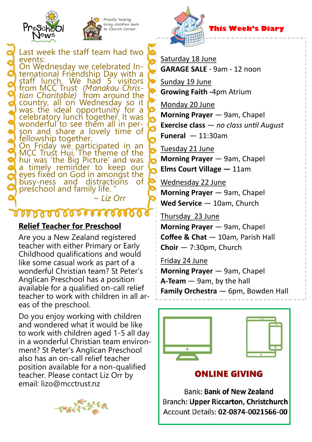



Last week the staff team had two events:

On Wednesday we celebrated International Friendship Day with a staff lunch. We had 5 visitors from MCC Trust *(Manakau Christian Charitable)* from around the country, all on Wednesday so it was the ideal opportunity for a celebratory lunch together. It was wonderful to see them all in person and share a lovely time of fellowship together. On Friday we participated in an

MCC Trust Hui. The theme of the hui was 'the Big Picture' and was a timely reminder to keep our eyes fixéd on God in amongst the<br>busy-ness and distractions of busy-ness and distractions preschool and family life. "

# $\frac{1}{2}$

~ *Liz Orr*

#### **Relief Teacher for Preschool**

Are you a New Zealand registered teacher with either Primary or Early Childhood qualifications and would like some casual work as part of a wonderful Christian team? St Peter's Anglican Preschool has a position available for a qualified on-call relief teacher to work with children in all areas of the preschool.

Do you enjoy working with children and wondered what it would be like to work with children aged 1-5 all day in a wonderful Christian team environment? St Peter's Anglican Preschool also has an on-call relief teacher position available for a non-qualified teacher. Please contact Liz Orr by email: lizo@mcctrust.nz





 **This Week's Diary**

Saturday 18 June

**GARAGE SALE** - 9am - 12 noon

Sunday 19 June **Growing Faith -**4pm Atrium

Monday 20 June **Morning Prayer** — 9am, Chapel **Exercise class** — *no class until August* **Funeral** — 11:30am

Tuesday 21 June **Morning Prayer** — 9am, Chapel **Elms Court Village —** 11am

Wednesday 22 June **Morning Prayer** — 9am, Chapel **Wed Service** — 10am, Church

Thursday 23 June **Morning Prayer** — 9am, Chapel **Coffee & Chat** — 10am, Parish Hall **Choir** — 7:30pm, Church

Friday 24 June **Morning Prayer** — 9am, Chapel **A-Team** — 9am, by the hall **Family Orchestra** — 6pm, Bowden Hall



**ONLINE GIVING** 

**Bank: Bank of New Zealand** Branch: Upper Riccarton, Christchurch Account Details: 02-0874-0021566-00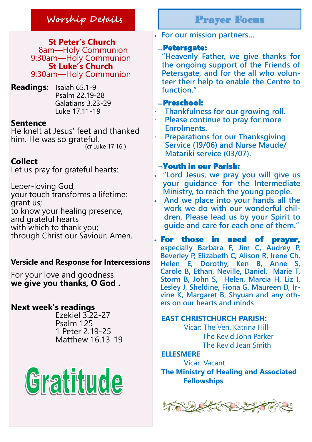# **Worship Details** Prayer Focus

**St Peter's Church** 8am—Holy Communion 9:30am—Holy Communion **St Luke's Church** 9:30am—Holy Communion

**Readings**: Isaiah 65.1-9 Psalm 22.19-28 Galatians 3.23-29 Luke 17.11-19

#### **Sentence**

He knelt at Jesus' feet and thanked him. He was so grateful. (*cf* Luke 17.16 )

## **Collect**

Let us pray for grateful hearts:

Leper-loving God, your touch transforms a lifetime: grant us; to know your healing presence, and grateful hearts with which to thank you; through Christ our Saviour. Amen.

#### **Versicle and Response for Intercessions**

For your love and goodness **we give you thanks, O God .**

# **Next week's readings**

Ezekiel 3.22-27 Psalm 125 1 Peter 2.19-25 Matthew 16.13-19



**For our mission partners…**

#### Petersgate:

**"Heavenly Father, we give thanks for the ongoing support of the Friends of Petersgate, and for the all who volunteer their help to enable the Centre to function."**

#### Preschool:

- **· Thankfulness for our growing roll.**
- **· Please continue to pray for more Enrolments.**
- **· Preparations for our Thanksgiving Service (19/06) and Nurse Maude/ Matariki service (03/07).**

#### Youth in our Parish:

- **"Lord Jesus, we pray you will give us your guidance for the Intermediate Ministry, to reach the young people.**
- **And we place into your hands all the work we do with our wonderful children. Please lead us by your Spirit to guide and care for each one of them."**

 For those in need of prayer, **especially Barbara F, Jim C, Audrey P, Beverley P, Elizabeth C, Alison R, Irene Ch,**  Helen E, Dorothy, Ken B, Anne **Carole B, Ethan, Neville, Daniel, Marie T, Storm B, John S, Helen, Marcia H, Liz I, Lesley J, Sheldine, Fiona G, Maureen D, Irvine K, Margaret B, Shyuan and any others on our hearts and minds**

#### **EAST CHRISTCHURCH PARISH:**

Vicar: The Ven. Katrina Hill The Rev'd John Parker The Rev'd Jean Smith

#### **ELLESMERE**

Vicar: Vacant **The Ministry of Healing and Associated Fellowships**